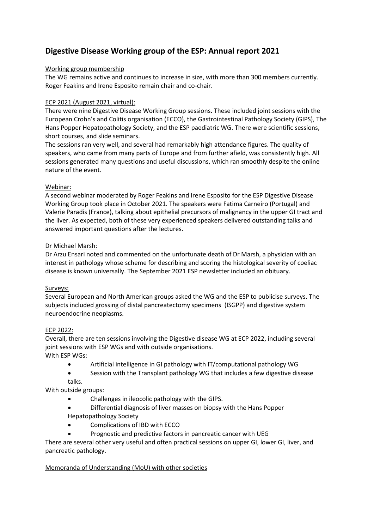# **Digestive Disease Working group of the ESP: Annual report 2021**

## Working group membership

The WG remains active and continues to increase in size, with more than 300 members currently. Roger Feakins and Irene Esposito remain chair and co-chair.

## ECP 2021 (August 2021, virtual):

There were nine Digestive Disease Working Group sessions. These included joint sessions with the European Crohn's and Colitis organisation (ECCO), the Gastrointestinal Pathology Society (GIPS), The Hans Popper Hepatopathology Society, and the ESP paediatric WG. There were scientific sessions, short courses, and slide seminars.

The sessions ran very well, and several had remarkably high attendance figures. The quality of speakers, who came from many parts of Europe and from further afield, was consistently high. All sessions generated many questions and useful discussions, which ran smoothly despite the online nature of the event.

# Webinar:

A second webinar moderated by Roger Feakins and Irene Esposito for the ESP Digestive Disease Working Group took place in October 2021. The speakers were Fatima Carneiro (Portugal) and Valerie Paradis (France), talking about epithelial precursors of malignancy in the upper GI tract and the liver. As expected, both of these very experienced speakers delivered outstanding talks and answered important questions after the lectures.

## Dr Michael Marsh:

Dr Arzu Ensari noted and commented on the unfortunate death of Dr Marsh, a physician with an interest in pathology whose scheme for describing and scoring the histological severity of coeliac disease is known universally. The September 2021 ESP newsletter included an obituary.

# Surveys:

Several European and North American groups asked the WG and the ESP to publicise surveys. The subjects included grossing of distal pancreatectomy specimens (ISGPP) and digestive system neuroendocrine neoplasms.

# ECP 2022:

Overall, there are ten sessions involving the Digestive disease WG at ECP 2022, including several joint sessions with ESP WGs and with outside organisations. With ESP WGs:

- Artificial intelligence in GI pathology with IT/computational pathology WG
- Session with the Transplant pathology WG that includes a few digestive disease talks.

With outside groups:

- Challenges in ileocolic pathology with the GIPS.
- Differential diagnosis of liver masses on biopsy with the Hans Popper Hepatopathology Society
- Complications of IBD with ECCO
- Prognostic and predictive factors in pancreatic cancer with UEG

There are several other very useful and often practical sessions on upper GI, lower GI, liver, and pancreatic pathology.

# Memoranda of Understanding (MoU) with other societies